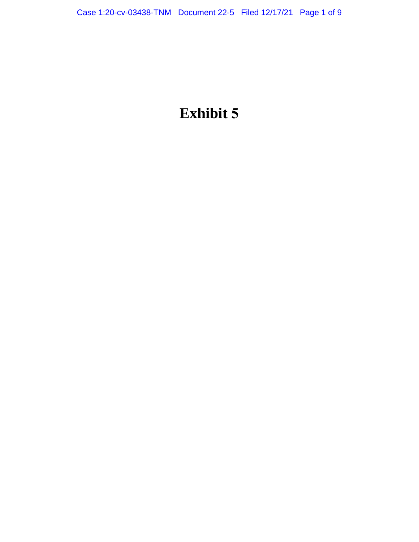# **Exhibit 5**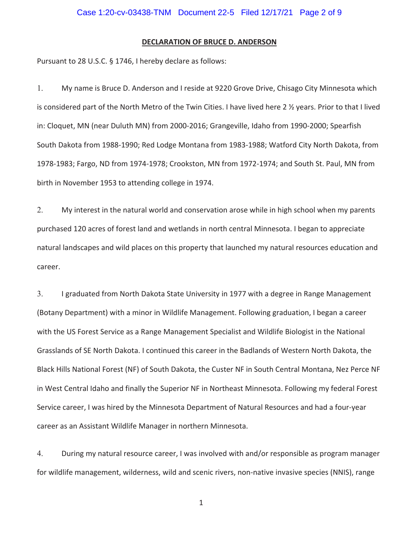# **DECLARATION OF BRUCE D. ANDERSON**

Pursuant to 28 U.S.C. § 1746, I hereby declare as follows:

1. My name is Bruce D. Anderson and I reside at 9220 Grove Drive, Chisago City Minnesota which is considered part of the North Metro of the Twin Cities. I have lived here 2 ½ years. Prior to that I lived in: Cloquet, MN (near Duluth MN) from 2000-2016; Grangeville, Idaho from 1990-2000; Spearfish South Dakota from 1988-1990; Red Lodge Montana from 1983-1988; Watford City North Dakota, from 1978-1983; Fargo, ND from 1974-1978; Crookston, MN from 1972-1974; and South St. Paul, MN from birth in November 1953 to attending college in 1974.

2. My interest in the natural world and conservation arose while in high school when my parents purchased 120 acres of forest land and wetlands in north central Minnesota. I began to appreciate natural landscapes and wild places on this property that launched my natural resources education and career.

3. I graduated from North Dakota State University in 1977 with a degree in Range Management (Botany Department) with a minor in Wildlife Management. Following graduation, I began a career with the US Forest Service as a Range Management Specialist and Wildlife Biologist in the National Grasslands of SE North Dakota. I continued this career in the Badlands of Western North Dakota, the Black Hills National Forest (NF) of South Dakota, the Custer NF in South Central Montana, Nez Perce NF in West Central Idaho and finally the Superior NF in Northeast Minnesota. Following my federal Forest Service career, I was hired by the Minnesota Department of Natural Resources and had a four-year career as an Assistant Wildlife Manager in northern Minnesota.

4. During my natural resource career, I was involved with and/or responsible as program manager for wildlife management, wilderness, wild and scenic rivers, non-native invasive species (NNIS), range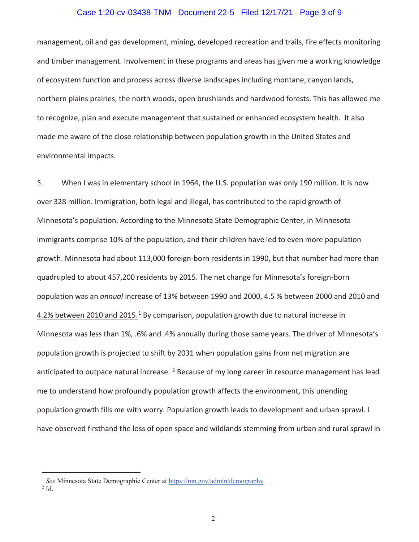# Case 1:20-cv-03438-TNM Document 22-5 Filed 12/17/21 Page 3 of 9

management, oil and gas development, mining, developed recreation and trails, fire effects monitoring and timber management. Involvement in these programs and areas has given me a working knowledge of ecosystem function and process across diverse landscapes including montane, canyon lands, northern plains prairies, the north woods, open brushlands and hardwood forests. This has allowed me to recognize, plan and execute management that sustained or enhanced ecosystem health. It also made me aware of the close relationship between population growth in the United States and environmental impacts.

5. When I was in elementary school in 1964, the U.S. population was only 190 million. It is now over 328 million. Immigration, both legal and illegal, has contributed to the rapid growth of Minnesota's population. According to the Minnesota State Demographic Center, in Minnesota immigrants comprise 10% of the population, and their children have led to even more population growth. Minnesota had about 113,000 foreign-born residents in 1990, but that number had more than quadrupled to about 457,200 residents by 2015. The net change for Minnesota's foreign-born population was an *annual* increase of 13% between 1990 and 2000, 4.5 % between 2000 and 2010 and 4.2% between 2010 and 2015.<sup>1</sup> By comparison, population growth due to natural increase in Minnesota was less than 1%, .6% and .4% annually during those same years. The driver of Minnesota's population growth is projected to shift by 2031 when population gains from net migration are anticipated to outpace natural increase. <sup>2</sup> Because of my long career in resource management has lead me to understand how profoundly population growth affects the environment, this unending population growth fills me with worry. Population growth leads to development and urban sprawl. I have observed firsthand the loss of open space and wildlands stemming from urban and rural sprawl in

<sup>&</sup>lt;sup>1</sup> See Minnesota State Demographic Center at https://mn.gov/admin/demography

 $2$  Id.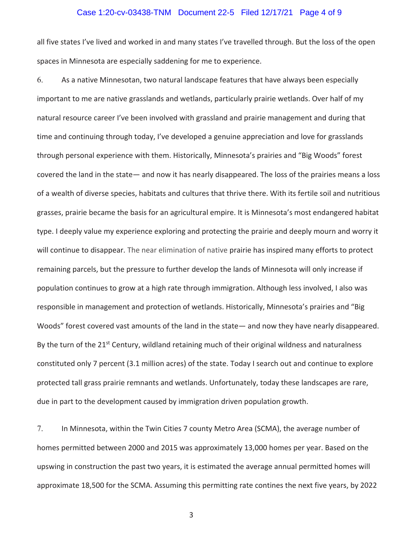## Case 1:20-cv-03438-TNM Document 22-5 Filed 12/17/21 Page 4 of 9

all five states I've lived and worked in and many states I've travelled through. But the loss of the open spaces in Minnesota are especially saddening for me to experience.

6. As a native Minnesotan, two natural landscape features that have always been especially important to me are native grasslands and wetlands, particularly prairie wetlands. Over half of my natural resource career I've been involved with grassland and prairie management and during that time and continuing through today, I've developed a genuine appreciation and love for grasslands through personal experience with them. Historically, Minnesota's prairies and "Big Woods" forest covered the land in the state— and now it has nearly disappeared. The loss of the prairies means a loss of a wealth of diverse species, habitats and cultures that thrive there. With its fertile soil and nutritious grasses, prairie became the basis for an agricultural empire. It is Minnesota's most endangered habitat type. I deeply value my experience exploring and protecting the prairie and deeply mourn and worry it will continue to disappear. The near elimination of native prairie has inspired many efforts to protect remaining parcels, but the pressure to further develop the lands of Minnesota will only increase if population continues to grow at a high rate through immigration. Although less involved, I also was responsible in management and protection of wetlands. Historically, Minnesota's prairies and "Big Woods" forest covered vast amounts of the land in the state— and now they have nearly disappeared. By the turn of the  $21^{st}$  Century, wildland retaining much of their original wildness and naturalness constituted only 7 percent (3.1 million acres) of the state. Today I search out and continue to explore protected tall grass prairie remnants and wetlands. Unfortunately, today these landscapes are rare, due in part to the development caused by immigration driven population growth.

7. In Minnesota, within the Twin Cities 7 county Metro Area (SCMA), the average number of homes permitted between 2000 and 2015 was approximately 13,000 homes per year. Based on the upswing in construction the past two years, it is estimated the average annual permitted homes will approximate 18,500 for the SCMA. Assuming this permitting rate contines the next five years, by 2022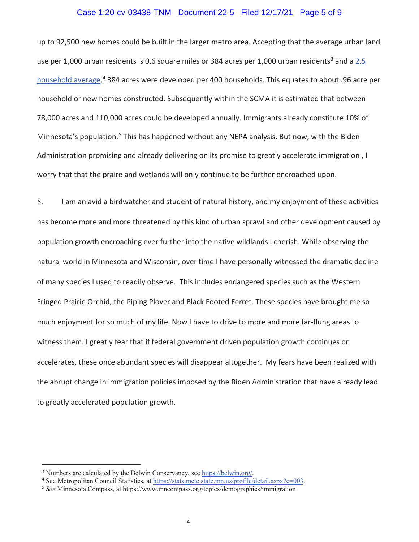# Case 1:20-cv-03438-TNM Document 22-5 Filed 12/17/21 Page 5 of 9

up to 92,500 new homes could be built in the larger metro area. Accepting that the average urban land use per 1,000 urban residents is 0.6 square miles or 384 acres per 1,000 urban residents<sup>3</sup> and a 2.5 household average, 4 384 acres were developed per 400 households. This equates to about .96 acre per household or new homes constructed. Subsequently within the SCMA it is estimated that between 78,000 acres and 110,000 acres could be developed annually. Immigrants already constitute 10% of Minnesota's population.<sup>5</sup> This has happened without any NEPA analysis. But now, with the Biden Administration promising and already delivering on its promise to greatly accelerate immigration , I worry that that the praire and wetlands will only continue to be further encroached upon.

8. I am an avid a birdwatcher and student of natural history, and my enjoyment of these activities has become more and more threatened by this kind of urban sprawl and other development caused by population growth encroaching ever further into the native wildlands I cherish. While observing the natural world in Minnesota and Wisconsin, over time I have personally witnessed the dramatic decline of many species I used to readily observe. This includes endangered species such as the Western Fringed Prairie Orchid, the Piping Plover and Black Footed Ferret. These species have brought me so much enjoyment for so much of my life. Now I have to drive to more and more far-flung areas to witness them. I greatly fear that if federal government driven population growth continues or accelerates, these once abundant species will disappear altogether. My fears have been realized with the abrupt change in immigration policies imposed by the Biden Administration that have already lead to greatly accelerated population growth.

<sup>&</sup>lt;sup>3</sup> Numbers are calculated by the Belwin Conservancy, see  $\underline{http://belowin.org/}$ .<br><sup>4</sup> See Metropolitan Council Statistics, at https://stats.metc.state.mn.us/profile/

<sup>&</sup>lt;sup>4</sup> See Metropolitan Council Statistics, at https://stats.metc.state.mn.us/profile/detail.aspx?c=003.<sup>5</sup> *See* Minnesota Compass, at https://www.mncompass.org/topics/demographics/immigration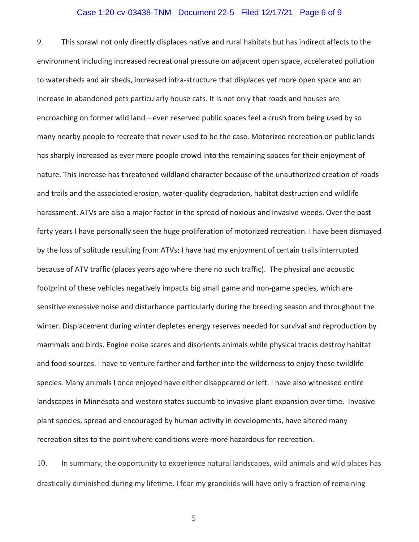# Case 1:20-cv-03438-TNM Document 22-5 Filed 12/17/21 Page 6 of 9

9. This sprawl not only directly displaces native and rural habitats but has indirect affects to the environment including increased recreational pressure on adjacent open space, accelerated pollution to watersheds and air sheds, increased infra-structure that displaces yet more open space and an increase in abandoned pets particularly house cats. It is not only that roads and houses are encroaching on former wild land—even reserved public spaces feel a crush from being used by so many nearby people to recreate that never used to be the case. Motorized recreation on public lands has sharply increased as ever more people crowd into the remaining spaces for their enjoyment of nature. This increase has threatened wildland character because of the unauthorized creation of roads and trails and the associated erosion, water-quality degradation, habitat destruction and wildlife harassment. ATVs are also a major factor in the spread of noxious and invasive weeds. Over the past forty years I have personally seen the huge proliferation of motorized recreation. I have been dismayed by the loss of solitude resulting from ATVs; I have had my enjoyment of certain trails interrupted because of ATV traffic (places years ago where there no such traffic). The physical and acoustic footprint of these vehicles negatively impacts big small game and non-game species, which are sensitive excessive noise and disturbance particularly during the breeding season and throughout the winter. Displacement during winter depletes energy reserves needed for survival and reproduction by mammals and birds. Engine noise scares and disorients animals while physical tracks destroy habitat and food sources. I have to venture farther and farther into the wilderness to enjoy these twildlife species. Many animals I once enjoyed have either disappeared or left. I have also witnessed entire landscapes in Minnesota and western states succumb to invasive plant expansion over time. Invasive plant species, spread and encouraged by human activity in developments, have altered many recreation sites to the point where conditions were more hazardous for recreation.

10. In summary, the opportunity to experience natural landscapes, wild animals and wild places has drastically diminished during my lifetime. I fear my grandkids will have only a fraction of remaining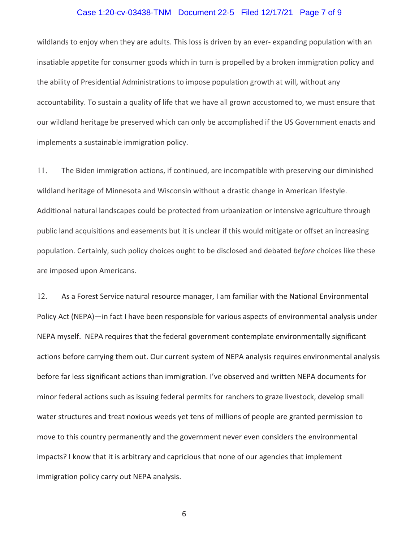# Case 1:20-cv-03438-TNM Document 22-5 Filed 12/17/21 Page 7 of 9

wildlands to enjoy when they are adults. This loss is driven by an ever- expanding population with an insatiable appetite for consumer goods which in turn is propelled by a broken immigration policy and the ability of Presidential Administrations to impose population growth at will, without any accountability. To sustain a quality of life that we have all grown accustomed to, we must ensure that our wildland heritage be preserved which can only be accomplished if the US Government enacts and implements a sustainable immigration policy.

11. The Biden immigration actions, if continued, are incompatible with preserving our diminished wildland heritage of Minnesota and Wisconsin without a drastic change in American lifestyle. Additional natural landscapes could be protected from urbanization or intensive agriculture through public land acquisitions and easements but it is unclear if this would mitigate or offset an increasing population. Certainly, such policy choices ought to be disclosed and debated *before* choices like these are imposed upon Americans.

12. As a Forest Service natural resource manager, I am familiar with the National Environmental Policy Act (NEPA)—in fact I have been responsible for various aspects of environmental analysis under NEPA myself. NEPA requires that the federal government contemplate environmentally significant actions before carrying them out. Our current system of NEPA analysis requires environmental analysis before far less significant actions than immigration. I've observed and written NEPA documents for minor federal actions such as issuing federal permits for ranchers to graze livestock, develop small water structures and treat noxious weeds yet tens of millions of people are granted permission to move to this country permanently and the government never even considers the environmental impacts? I know that it is arbitrary and capricious that none of our agencies that implement immigration policy carry out NEPA analysis.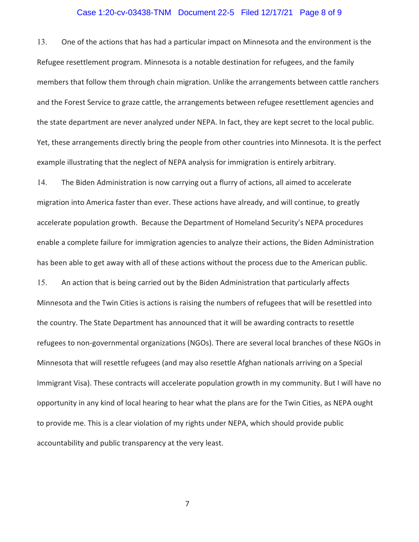# Case 1:20-cv-03438-TNM Document 22-5 Filed 12/17/21 Page 8 of 9

13. One of the actions that has had a particular impact on Minnesota and the environment is the Refugee resettlement program. Minnesota is a notable destination for refugees, and the family members that follow them through chain migration. Unlike the arrangements between cattle ranchers and the Forest Service to graze cattle, the arrangements between refugee resettlement agencies and the state department are never analyzed under NEPA. In fact, they are kept secret to the local public. Yet, these arrangements directly bring the people from other countries into Minnesota. It is the perfect example illustrating that the neglect of NEPA analysis for immigration is entirely arbitrary.

14. The Biden Administration is now carrying out a flurry of actions, all aimed to accelerate migration into America faster than ever. These actions have already, and will continue, to greatly accelerate population growth. Because the Department of Homeland Security's NEPA procedures enable a complete failure for immigration agencies to analyze their actions, the Biden Administration has been able to get away with all of these actions without the process due to the American public. 15. An action that is being carried out by the Biden Administration that particularly affects Minnesota and the Twin Cities is actions is raising the numbers of refugees that will be resettled into the country. The State Department has announced that it will be awarding contracts to resettle refugees to non-governmental organizations (NGOs). There are several local branches of these NGOs in Minnesota that will resettle refugees (and may also resettle Afghan nationals arriving on a Special Immigrant Visa). These contracts will accelerate population growth in my community. But I will have no opportunity in any kind of local hearing to hear what the plans are for the Twin Cities, as NEPA ought to provide me. This is a clear violation of my rights under NEPA, which should provide public accountability and public transparency at the very least.